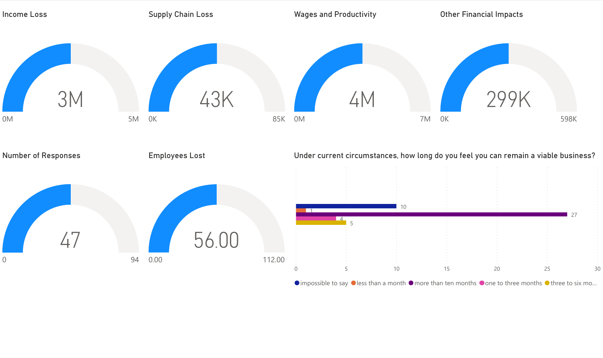

 $\bullet$  impossible to say  $\bullet$  less than a month  $\bullet$  more than ten months  $\bullet$  one to three months  $\bullet$  three to six mo...